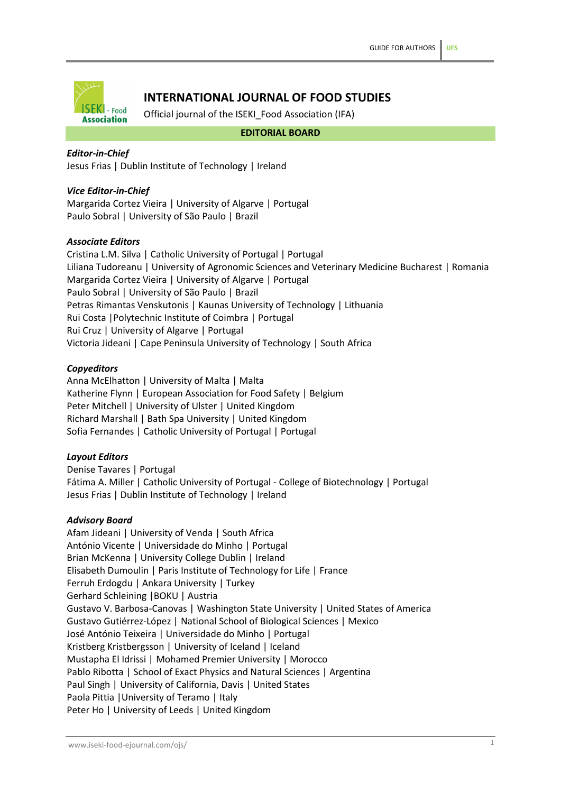

# **INTERNATIONAL JOURNAL OF FOOD STUDIES**

Official journal of the ISEKI\_Food Association (IFA)

**EDITORIAL BOARD**

# *Editor-in-Chief*

Jesus Frias | Dublin Institute of Technology | Ireland

# *Vice Editor-in-Chief*

Margarida Cortez Vieira | University of Algarve | Portugal Paulo Sobral | University of São Paulo | Brazil

# *Associate Editors*

Cristina L.M. Silva | Catholic University of Portugal | Portugal Liliana Tudoreanu | University of Agronomic Sciences and Veterinary Medicine Bucharest | Romania Margarida Cortez Vieira | University of Algarve | Portugal Paulo Sobral | University of São Paulo | Brazil Petras Rimantas Venskutonis | Kaunas University of Technology | Lithuania Rui Costa |Polytechnic Institute of Coimbra | Portugal Rui Cruz | University of Algarve | Portugal Victoria Jideani | Cape Peninsula University of Technology | South Africa

### *Copyeditors*

Anna McElhatton | University of Malta | Malta Katherine Flynn | European Association for Food Safety | Belgium Peter Mitchell | University of Ulster | United Kingdom Richard Marshall | Bath Spa University | United Kingdom Sofia Fernandes | Catholic University of Portugal | Portugal

# *Layout Editors*

Denise Tavares | Portugal Fátima A. Miller | Catholic University of Portugal - College of Biotechnology | Portugal Jesus Frias | Dublin Institute of Technology | Ireland

# *Advisory Board*

Afam Jideani | University of Venda | South Africa António Vicente | Universidade do Minho | Portugal Brian McKenna | University College Dublin | Ireland Elisabeth Dumoulin | Paris Institute of Technology for Life | France Ferruh Erdogdu | Ankara University | Turkey Gerhard Schleining |BOKU | Austria Gustavo V. Barbosa-Canovas | Washington State University | United States of America Gustavo Gutiérrez-López | National School of Biological Sciences | Mexico José António Teixeira | Universidade do Minho | Portugal Kristberg Kristbergsson | University of Iceland | Iceland Mustapha El Idrissi | Mohamed Premier University | Morocco Pablo Ribotta | School of Exact Physics and Natural Sciences | Argentina Paul Singh | University of California, Davis | United States Paola Pittia |University of Teramo | Italy Peter Ho | University of Leeds | United Kingdom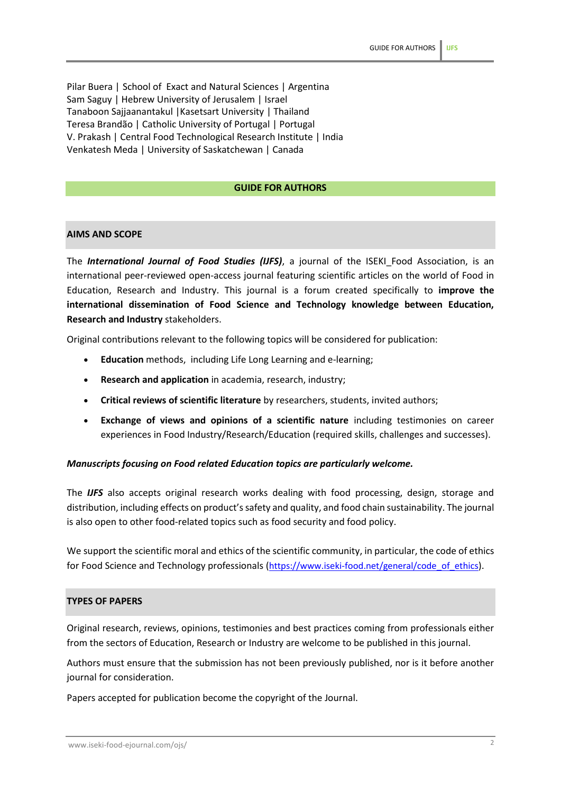Pilar Buera | School of Exact and Natural Sciences | Argentina Sam Saguy | Hebrew University of Jerusalem | Israel Tanaboon Sajjaanantakul |Kasetsart University | Thailand Teresa Brandão | Catholic University of Portugal | Portugal V. Prakash | Central Food Technological Research Institute | India Venkatesh Meda | University of Saskatchewan | Canada

### **GUIDE FOR AUTHORS**

# **AIMS AND SCOPE**

The *International Journal of Food Studies (IJFS)*, a journal of the ISEKI\_Food Association, is an international peer-reviewed open-access journal featuring scientific articles on the world of Food in Education, Research and Industry. This journal is a forum created specifically to **improve the international dissemination of Food Science and Technology knowledge between Education, Research and Industry** stakeholders.

Original contributions relevant to the following topics will be considered for publication:

- **Education** methods, including Life Long Learning and e-learning;
- **Research and application** in academia, research, industry;
- **Critical reviews of scientific literature** by researchers, students, invited authors;
- **Exchange of views and opinions of a scientific nature** including testimonies on career experiences in Food Industry/Research/Education (required skills, challenges and successes).

### *Manuscripts focusing on Food related Education topics are particularly welcome.*

The *IJFS* also accepts original research works dealing with food processing, design, storage and distribution, including effects on product's safety and quality, and food chain sustainability. The journal is also open to other food-related topics such as food security and food policy.

We support the scientific moral and ethics of the scientific community, in particular, the code of ethics for Food Science and Technology professionals ([https://www.iseki-food.net/general/code\\_of\\_ethics](https://www.iseki-food.net/general/code_of_ethics)).

### **TYPES OF PAPERS**

Original research, reviews, opinions, testimonies and best practices coming from professionals either from the sectors of Education, Research or Industry are welcome to be published in this journal.

Authors must ensure that the submission has not been previously published, nor is it before another journal for consideration.

Papers accepted for publication become the copyright of the Journal.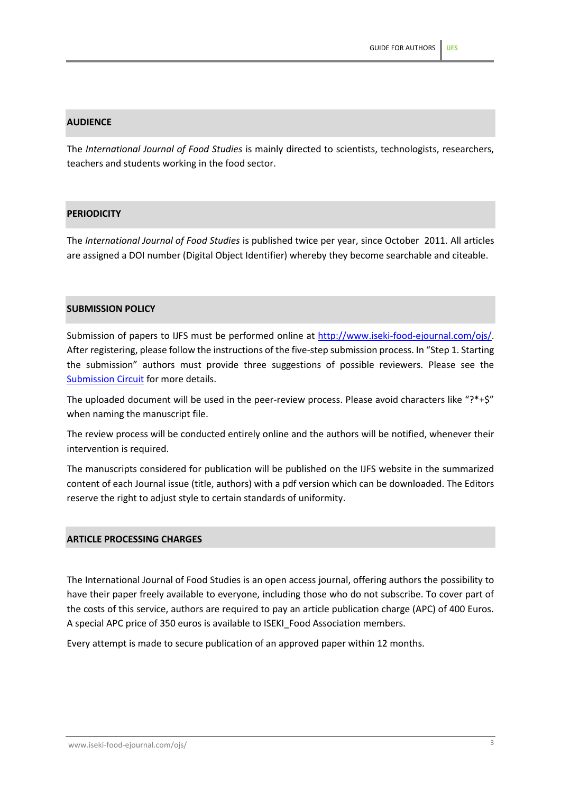# **AUDIENCE**

The *International Journal of Food Studies* is mainly directed to scientists, technologists, researchers, teachers and students working in the food sector.

# **PERIODICITY**

The *International Journal of Food Studies* is published twice per year, since October 2011. All articles are assigned a DOI number (Digital Object Identifier) whereby they become searchable and citeable.

### **SUBMISSION POLICY**

Submission of papers to IJFS must be performed online at [http://www.iseki-food-ejournal.com/ojs/.](http://www.iseki-food-ejournal.com/ojs/) After registering, please follow the instructions of the five-step submission process. In "Step 1. Starting the submission" authors must provide three suggestions of possible reviewers. Please see the [Submission Circuit](http://www.iseki-food-ejournal.com/ojs/files/journals/1/Submissioncircuit.pdf) for more details.

The uploaded document will be used in the peer-review process. Please avoid characters like "?\*+\$" when naming the manuscript file.

The review process will be conducted entirely online and the authors will be notified, whenever their intervention is required.

The manuscripts considered for publication will be published on the IJFS website in the summarized content of each Journal issue (title, authors) with a pdf version which can be downloaded. The Editors reserve the right to adjust style to certain standards of uniformity.

### **ARTICLE PROCESSING CHARGES**

The International Journal of Food Studies is an open access journal, offering authors the possibility to have their paper freely available to everyone, including those who do not subscribe. To cover part of the costs of this service, authors are required to pay an article publication charge (APC) of 400 Euros. A special APC price of 350 euros is available to ISEKI\_Food Association members.

Every attempt is made to secure publication of an approved paper within 12 months.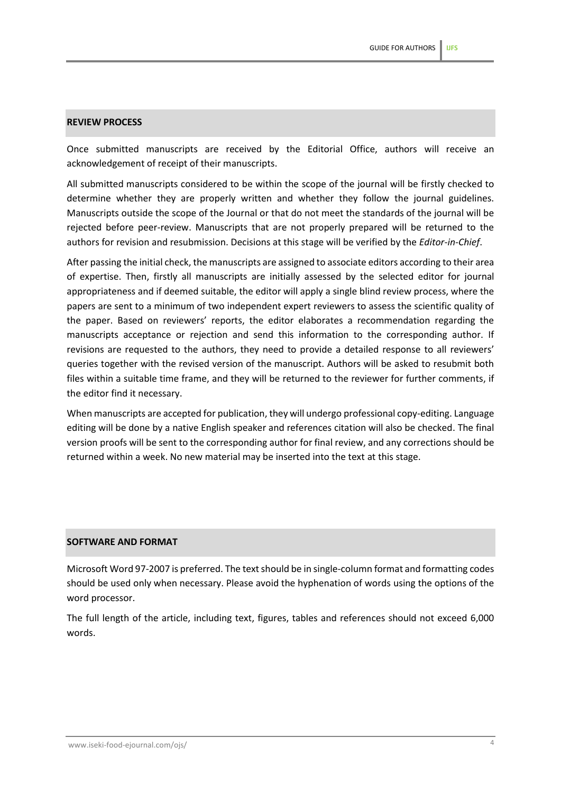### **REVIEW PROCESS**

Once submitted manuscripts are received by the Editorial Office, authors will receive an acknowledgement of receipt of their manuscripts.

All submitted manuscripts considered to be within the scope of the journal will be firstly checked to determine whether they are properly written and whether they follow the journal guidelines. Manuscripts outside the scope of the Journal or that do not meet the standards of the journal will be rejected before peer-review. Manuscripts that are not properly prepared will be returned to the authors for revision and resubmission. Decisions at this stage will be verified by the *Editor-in-Chief*.

After passing the initial check, the manuscripts are assigned to associate editors according to their area of expertise. Then, firstly all manuscripts are initially assessed by the selected editor for journal appropriateness and if deemed suitable, the editor will apply a single blind review process, where the papers are sent to a minimum of two independent expert reviewers to assess the scientific quality of the paper. Based on reviewers' reports, the editor elaborates a recommendation regarding the manuscripts acceptance or rejection and send this information to the corresponding author. If revisions are requested to the authors, they need to provide a detailed response to all reviewers' queries together with the revised version of the manuscript. Authors will be asked to resubmit both files within a suitable time frame, and they will be returned to the reviewer for further comments, if the editor find it necessary.

When manuscripts are accepted for publication, they will undergo professional copy-editing. Language editing will be done by a native English speaker and references citation will also be checked. The final version proofs will be sent to the corresponding author for final review, and any corrections should be returned within a week. No new material may be inserted into the text at this stage.

### **SOFTWARE AND FORMAT**

Microsoft Word 97-2007 is preferred. The text should be in single-column format and formatting codes should be used only when necessary. Please avoid the hyphenation of words using the options of the word processor.

The full length of the article, including text, figures, tables and references should not exceed 6,000 words.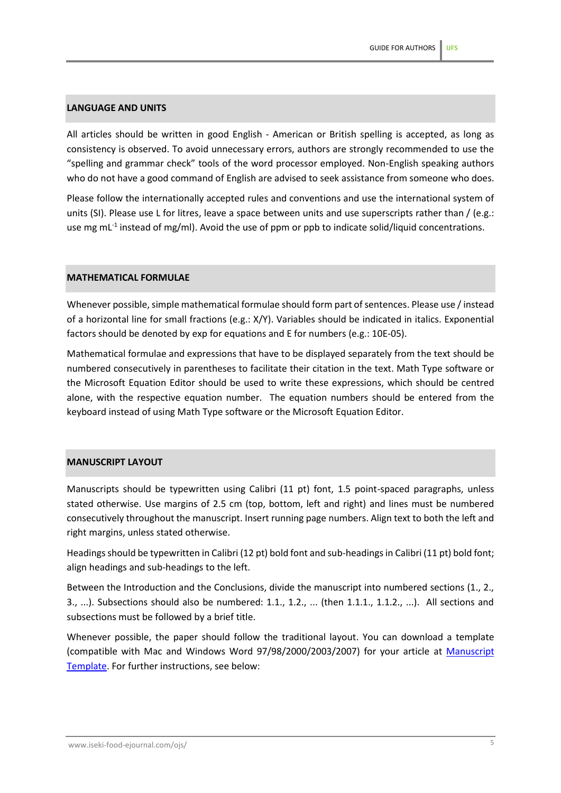# **LANGUAGE AND UNITS**

All articles should be written in good English - American or British spelling is accepted, as long as consistency is observed. To avoid unnecessary errors, authors are strongly recommended to use the "spelling and grammar check" tools of the word processor employed. Non-English speaking authors who do not have a good command of English are advised to seek assistance from someone who does.

Please follow the internationally accepted rules and conventions and use the international system of units (SI). Please use L for litres, leave a space between units and use superscripts rather than / (e.g.: use mg mL<sup>-1</sup> instead of mg/ml). Avoid the use of ppm or ppb to indicate solid/liquid concentrations.

### **MATHEMATICAL FORMULAE**

Whenever possible, simple mathematical formulae should form part of sentences. Please use / instead of a horizontal line for small fractions (e.g.: X/Y). Variables should be indicated in italics. Exponential factors should be denoted by exp for equations and E for numbers (e.g.: 10E-05).

Mathematical formulae and expressions that have to be displayed separately from the text should be numbered consecutively in parentheses to facilitate their citation in the text. Math Type software or the Microsoft Equation Editor should be used to write these expressions, which should be centred alone, with the respective equation number. The equation numbers should be entered from the keyboard instead of using Math Type software or the Microsoft Equation Editor.

### **MANUSCRIPT LAYOUT**

Manuscripts should be typewritten using Calibri (11 pt) font, 1.5 point-spaced paragraphs, unless stated otherwise. Use margins of 2.5 cm (top, bottom, left and right) and lines must be numbered consecutively throughout the manuscript. Insert running page numbers. Align text to both the left and right margins, unless stated otherwise.

Headings should be typewritten in Calibri (12 pt) bold font and sub-headings in Calibri (11 pt) bold font; align headings and sub-headings to the left.

Between the Introduction and the Conclusions, divide the manuscript into numbered sections (1., 2., 3., ...). Subsections should also be numbered: 1.1., 1.2., ... (then 1.1.1., 1.1.2., ...). All sections and subsections must be followed by a brief title.

Whenever possible, the paper should follow the traditional layout. You can download a template (compatible with Mac and Windows Word 97/98/2000/2003/2007) for your article at [Manuscript](http://www.iseki-food-ejournal.com/ojs/files/journals/1/Manuscripttemplate.doc)  [Template.](http://www.iseki-food-ejournal.com/ojs/files/journals/1/Manuscripttemplate.doc) For further instructions, see below: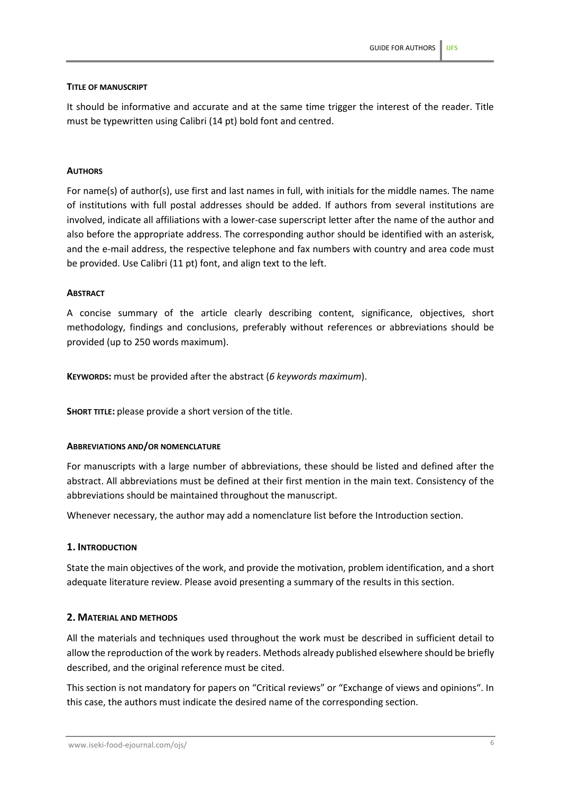### **TITLE OF MANUSCRIPT**

It should be informative and accurate and at the same time trigger the interest of the reader. Title must be typewritten using Calibri (14 pt) bold font and centred.

### **AUTHORS**

For name(s) of author(s), use first and last names in full, with initials for the middle names. The name of institutions with full postal addresses should be added. If authors from several institutions are involved, indicate all affiliations with a lower-case superscript letter after the name of the author and also before the appropriate address. The corresponding author should be identified with an asterisk, and the e-mail address, the respective telephone and fax numbers with country and area code must be provided. Use Calibri (11 pt) font, and align text to the left.

### **ABSTRACT**

A concise summary of the article clearly describing content, significance, objectives, short methodology, findings and conclusions, preferably without references or abbreviations should be provided (up to 250 words maximum).

**KEYWORDS:** must be provided after the abstract (*6 keywords maximum*).

**SHORT TITLE:** please provide a short version of the title.

### **ABBREVIATIONS AND/OR NOMENCLATURE**

For manuscripts with a large number of abbreviations, these should be listed and defined after the abstract. All abbreviations must be defined at their first mention in the main text. Consistency of the abbreviations should be maintained throughout the manuscript.

Whenever necessary, the author may add a nomenclature list before the Introduction section.

### **1. INTRODUCTION**

State the main objectives of the work, and provide the motivation, problem identification, and a short adequate literature review. Please avoid presenting a summary of the results in this section.

# **2. MATERIAL AND METHODS**

All the materials and techniques used throughout the work must be described in sufficient detail to allow the reproduction of the work by readers. Methods already published elsewhere should be briefly described, and the original reference must be cited.

This section is not mandatory for papers on "Critical reviews" or "Exchange of views and opinions". In this case, the authors must indicate the desired name of the corresponding section.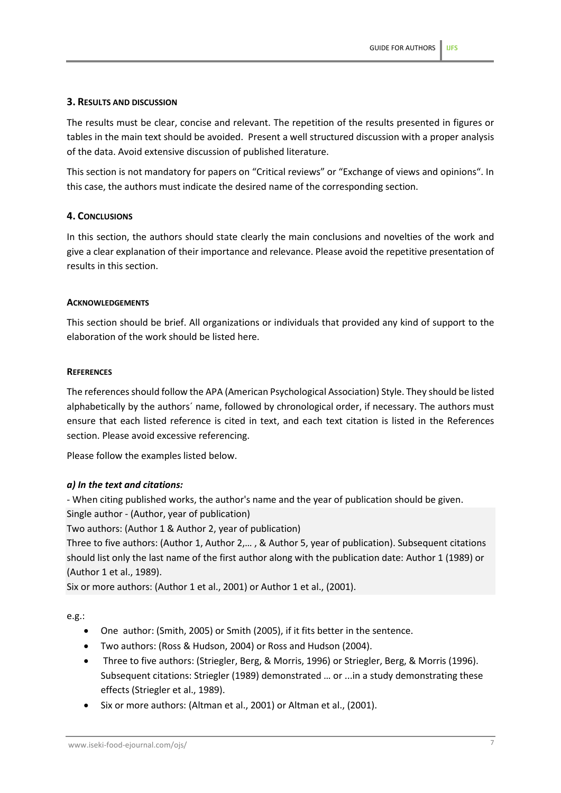# **3. RESULTS AND DISCUSSION**

The results must be clear, concise and relevant. The repetition of the results presented in figures or tables in the main text should be avoided. Present a well structured discussion with a proper analysis of the data. Avoid extensive discussion of published literature.

This section is not mandatory for papers on "Critical reviews" or "Exchange of views and opinions". In this case, the authors must indicate the desired name of the corresponding section.

### **4. CONCLUSIONS**

In this section, the authors should state clearly the main conclusions and novelties of the work and give a clear explanation of their importance and relevance. Please avoid the repetitive presentation of results in this section.

### **ACKNOWLEDGEMENTS**

This section should be brief. All organizations or individuals that provided any kind of support to the elaboration of the work should be listed here.

### **REFERENCES**

The references should follow the APA (American Psychological Association) Style. They should be listed alphabetically by the authors´ name, followed by chronological order, if necessary. The authors must ensure that each listed reference is cited in text, and each text citation is listed in the References section. Please avoid excessive referencing.

Please follow the examples listed below.

# *a) In the text and citations:*

- When citing published works, the author's name and the year of publication should be given.

Single author - (Author, year of publication)

Two authors: (Author 1 & Author 2, year of publication)

Three to five authors: (Author 1, Author 2,… , & Author 5, year of publication). Subsequent citations should list only the last name of the first author along with the publication date: Author 1 (1989) or (Author 1 et al., 1989).

Six or more authors: (Author 1 et al., 2001) or Author 1 et al., (2001).

e.g.:

- One author: (Smith, 2005) or Smith (2005), if it fits better in the sentence.
- Two authors: (Ross & Hudson, 2004) or Ross and Hudson (2004).
- Three to five authors: (Striegler, Berg, & Morris, 1996) or Striegler, Berg, & Morris (1996). Subsequent citations: Striegler (1989) demonstrated … or ...in a study demonstrating these effects (Striegler et al., 1989).
- Six or more authors: (Altman et al., 2001) or Altman et al., (2001).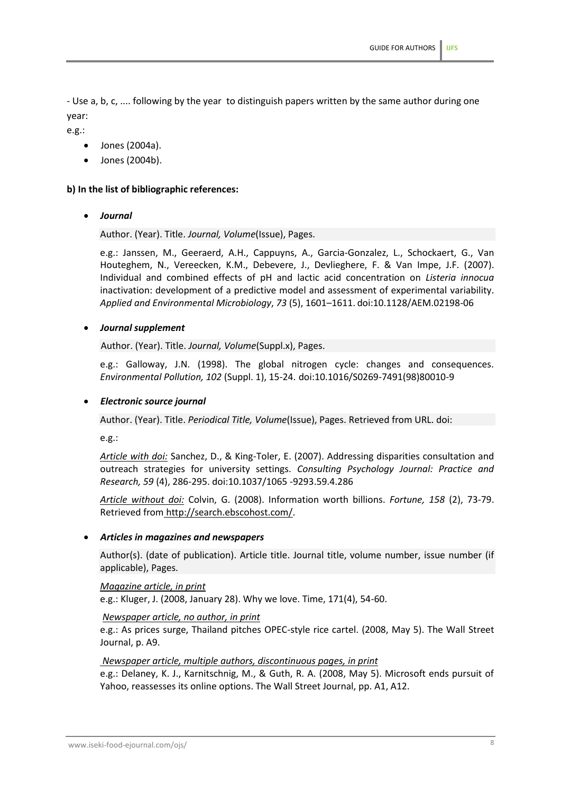- Use a, b, c, .... following by the year to distinguish papers written by the same author during one year:

e.g.:

- Jones (2004a).
- Jones (2004b).

# **b) In the list of bibliographic references:**

• *Journal*

Author. (Year). Title. *Journal, Volume*(Issue), Pages.

e.g.: Janssen, M., Geeraerd, A.H., Cappuyns, A., Garcia-Gonzalez, L., Schockaert, G., Van Houteghem, N., Vereecken, K.M., Debevere, J., Devlieghere, F. & Van Impe, J.F. (2007). Individual and combined effects of pH and lactic acid concentration on *Listeria innocua* inactivation: development of a predictive model and assessment of experimental variability. *Applied and Environmental Microbiology*, *73* (5), 1601–1611. doi:10.1128/AEM.02198-06

### • *Journal supplement*

Author. (Year). Title. *Journal, Volume*(Suppl.x), Pages.

e.g.: Galloway, J.N. (1998). The global nitrogen cycle: changes and consequences. *Environmental Pollution, 102* (Suppl. 1), 15-24. [doi:10.1016/S0269-7491\(98\)80010-9](http://dx.doi.org/10.1016/S0269-7491%2898%2980010-9)

### • *Electronic source journal*

Author. (Year). Title. *Periodical Title, Volume*(Issue), Pages. Retrieved from URL. doi:

e.g.:

*Article with doi:* Sanchez, D., & King-Toler, E. (2007). Addressing disparities consultation and outreach strategies for university settings. *Consulting Psychology Journal: Practice and Research, 59* (4), 286-295. doi:10.1037/1065 -9293.59.4.286

*Article without doi:* Colvin, G. (2008). Information worth billions. *Fortune, 158* (2), 73-79. Retrieved from http://search.ebscohost.com/.

### • *Articles in magazines and newspapers*

Author(s). (date of publication). Article title. Journal title, volume number, issue number (if applicable), Pages.

### *Magazine article, in print*

e.g.: Kluger, J. (2008, January 28). Why we love. Time, 171(4), 54-60.

### *Newspaper article, no author, in print*

e.g.: As prices surge, Thailand pitches OPEC-style rice cartel. (2008, May 5). The Wall Street Journal, p. A9.

### *Newspaper article, multiple authors, discontinuous pages, in print*

e.g.: Delaney, K. J., Karnitschnig, M., & Guth, R. A. (2008, May 5). Microsoft ends pursuit of Yahoo, reassesses its online options. The Wall Street Journal, pp. A1, A12.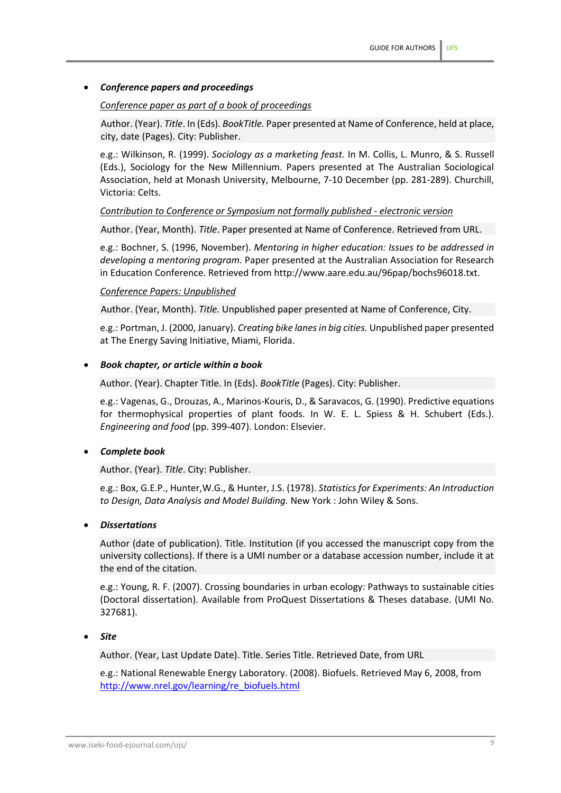# • *Conference papers and proceedings*

### *Conference paper as part of a book of proceedings*

Author. (Year). *Title*. In (Eds). *BookTitle.* Paper presented at Name of Conference, held at place, city, date (Pages). City: Publisher.

e.g.: Wilkinson, R. (1999). *Sociology as a marketing feast.* In M. Collis, L. Munro, & S. Russell (Eds.), Sociology for the New Millennium. Papers presented at The Australian Sociological Association, held at Monash University, Melbourne, 7-10 December (pp. 281-289). Churchill, Victoria: Celts.

### *Contribution to Conference or Symposium not formally published - electronic version*

Author. (Year, Month). *Title*. Paper presented at Name of Conference. Retrieved from URL.

e.g.: Bochner, S. (1996, November). *Mentoring in higher education: Issues to be addressed in developing a mentoring program.* Paper presented at the Australian Association for Research in Education Conference. Retrieved from http://www.aare.edu.au/96pap/bochs96018.txt.

#### *Conference Papers: Unpublished*

Author. (Year, Month). *Title.* Unpublished paper presented at Name of Conference, City.

e.g.: Portman, J. (2000, January). *Creating bike lanes in big cities.* Unpublished paper presented at The Energy Saving Initiative, Miami, Florida.

### • *Book chapter, or article within a book*

Author. (Year). Chapter Title. In (Eds). *BookTitle* (Pages). City: Publisher.

e.g.: Vagenas, G., Drouzas, A., Marinos-Kouris, D., & Saravacos, G. (1990). Predictive equations for thermophysical properties of plant foods. In W. E. L. Spiess & H. Schubert (Eds.). *Engineering and food* (pp. 399-407). London: Elsevier.

### • *Complete book*

Author. (Year). *Title*. City: Publisher.

e.g.: Box, G.E.P., Hunter,W.G., & Hunter, J.S. (1978). *Statistics for Experiments: An Introduction to Design, Data Analysis and Model Building.* New York : John Wiley & Sons.

#### • *Dissertations*

Author (date of publication). Title. Institution (if you accessed the manuscript copy from the university collections). If there is a UMI number or a database accession number, include it at the end of the citation.

e.g.: Young, R. F. (2007). Crossing boundaries in urban ecology: Pathways to sustainable cities (Doctoral dissertation). Available from ProQuest Dissertations & Theses database. (UMI No. 327681).

### • *Site*

Author. (Year, Last Update Date). Title. Series Title. Retrieved Date, from URL

e.g.: National Renewable Energy Laboratory. (2008). Biofuels. Retrieved May 6, 2008, from [http://www.nrel.gov/learning/re\\_biofuels.html](http://www.nrel.gov/learning/re_biofuels.html)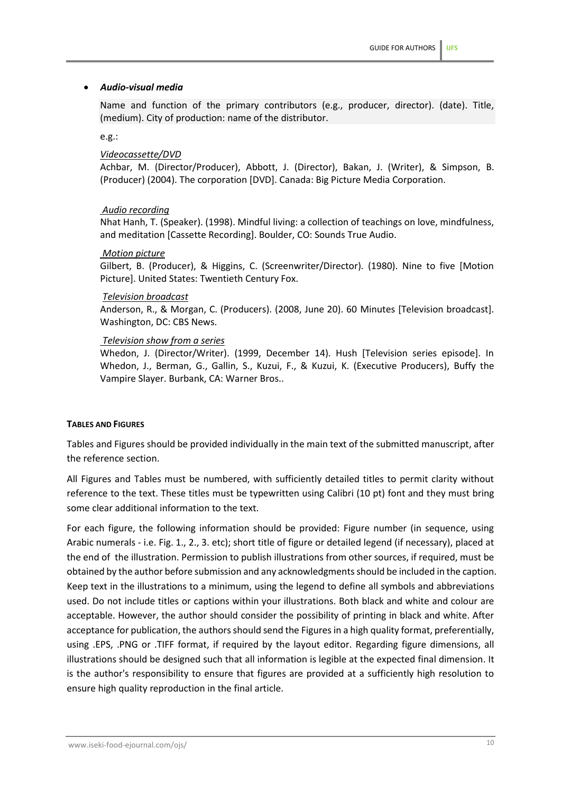### • *Audio-visual media*

Name and function of the primary contributors (e.g., producer, director). (date). Title, (medium). City of production: name of the distributor.

e.g.:

#### *Videocassette/DVD*

Achbar, M. (Director/Producer), Abbott, J. (Director), Bakan, J. (Writer), & Simpson, B. (Producer) (2004). The corporation [DVD]. Canada: Big Picture Media Corporation.

#### *Audio recording*

Nhat Hanh, T. (Speaker). (1998). Mindful living: a collection of teachings on love, mindfulness, and meditation [Cassette Recording]. Boulder, CO: Sounds True Audio.

#### *Motion picture*

Gilbert, B. (Producer), & Higgins, C. (Screenwriter/Director). (1980). Nine to five [Motion Picture]. United States: Twentieth Century Fox.

#### *Television broadcast*

Anderson, R., & Morgan, C. (Producers). (2008, June 20). 60 Minutes [Television broadcast]. Washington, DC: CBS News.

#### *Television show from a series*

Whedon, J. (Director/Writer). (1999, December 14). Hush [Television series episode]. In Whedon, J., Berman, G., Gallin, S., Kuzui, F., & Kuzui, K. (Executive Producers), Buffy the Vampire Slayer. Burbank, CA: Warner Bros..

#### **TABLES AND FIGURES**

Tables and Figures should be provided individually in the main text of the submitted manuscript, after the reference section.

All Figures and Tables must be numbered, with sufficiently detailed titles to permit clarity without reference to the text. These titles must be typewritten using Calibri (10 pt) font and they must bring some clear additional information to the text.

For each figure, the following information should be provided: Figure number (in sequence, using Arabic numerals - i.e. Fig. 1., 2., 3. etc); short title of figure or detailed legend (if necessary), placed at the end of the illustration. Permission to publish illustrations from other sources, if required, must be obtained by the author before submission and any acknowledgments should be included in the caption. Keep text in the illustrations to a minimum, using the legend to define all symbols and abbreviations used. Do not include titles or captions within your illustrations. Both black and white and colour are acceptable. However, the author should consider the possibility of printing in black and white. After acceptance for publication, the authors should send the Figures in a high quality format, preferentially, using .EPS, .PNG or .TIFF format, if required by the layout editor. Regarding figure dimensions, all illustrations should be designed such that all information is legible at the expected final dimension. It is the author's responsibility to ensure that figures are provided at a sufficiently high resolution to ensure high quality reproduction in the final article.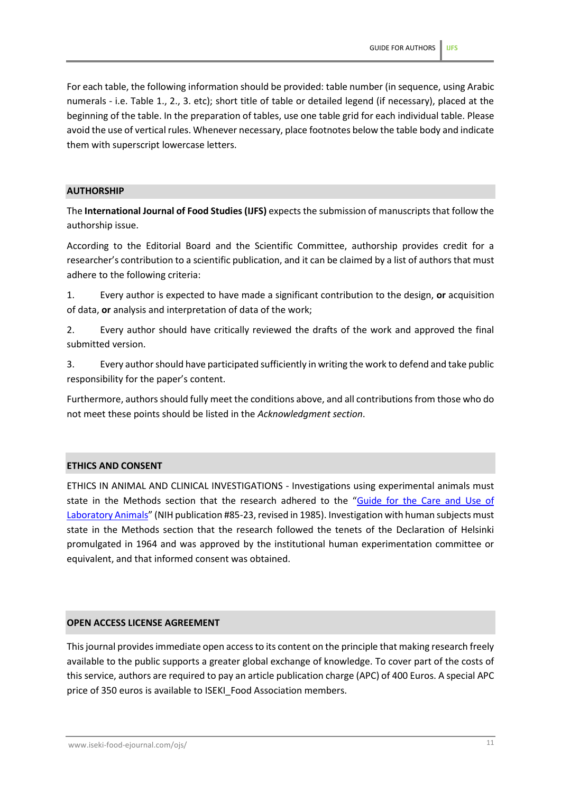For each table, the following information should be provided: table number (in sequence, using Arabic numerals - i.e. Table 1., 2., 3. etc); short title of table or detailed legend (if necessary), placed at the beginning of the table. In the preparation of tables, use one table grid for each individual table. Please avoid the use of vertical rules. Whenever necessary, place footnotes below the table body and indicate them with superscript lowercase letters.

# **AUTHORSHIP**

The **International Journal of Food Studies (IJFS)** expects the submission of manuscripts that follow the authorship issue.

According to the Editorial Board and the Scientific Committee, authorship provides credit for a researcher's contribution to a scientific publication, and it can be claimed by a list of authors that must adhere to the following criteria:

1. Every author is expected to have made a significant contribution to the design, **or** acquisition of data, **or** analysis and interpretation of data of the work;

2. Every author should have critically reviewed the drafts of the work and approved the final submitted version.

3. Every author should have participated sufficiently in writing the work to defend and take public responsibility for the paper's content.

Furthermore, authors should fully meet the conditions above, and all contributions from those who do not meet these points should be listed in the *Acknowledgment section*.

### **ETHICS AND CONSENT**

ETHICS IN ANIMAL AND CLINICAL INVESTIGATIONS - Investigations using experimental animals must state in the Methods section that the research adhered to the "[Guide for the Care and Use of](https://grants.nih.gov/grants/olaw/references/PHSPolicyLabAnimals.pdf)  [Laboratory Animals](https://grants.nih.gov/grants/olaw/references/PHSPolicyLabAnimals.pdf)" (NIH publication #85-23, revised in 1985). Investigation with human subjects must state in the Methods section that the research followed the tenets of the Declaration of Helsinki promulgated in 1964 and was approved by the institutional human experimentation committee or equivalent, and that informed consent was obtained.

# **OPEN ACCESS LICENSE AGREEMENT**

This journal provides immediate open access to its content on the principle that making research freely available to the public supports a greater global exchange of knowledge. To cover part of the costs of this service, authors are required to pay an article publication charge (APC) of 400 Euros. A special APC price of 350 euros is available to ISEKI\_Food Association members.